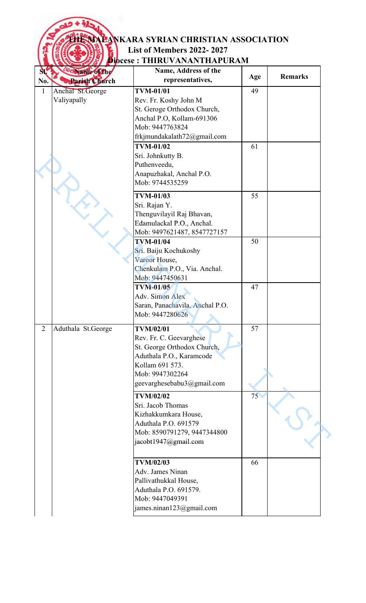## **THE MALANKARA SYRIAN CHRISTIAN ASSOCIATION List of Members 2022- 2027**

## **Diocese : THIRUVANANTHAPURAM**

 $\left(\begin{smallmatrix} 2\\ 2\\ 1\\ 1\\ 1\end{smallmatrix}\right)$ 

| $\mathbf{M}$   | <b>Workshie of the</b> | Name, Address of the            |     |                |
|----------------|------------------------|---------------------------------|-----|----------------|
| No.            | <b>Rarish Church</b>   | representatives,                | Age | <b>Remarks</b> |
| $\mathbf{1}$   | Anchal St.George       | <b>TVM-01/01</b>                | 49  |                |
|                | Valiyapally            | Rev. Fr. Koshy John M           |     |                |
|                |                        | St. Geroge Orthodox Church,     |     |                |
|                |                        | Anchal P.O, Kollam-691306       |     |                |
|                |                        | Mob: 9447763824                 |     |                |
|                |                        | frkjmundakalath $72$ @gmail.com |     |                |
|                |                        | <b>TVM-01/02</b>                | 61  |                |
|                |                        | Sri. Johnkutty B.               |     |                |
|                |                        | Puthenveedu,                    |     |                |
|                |                        | Anapuzhakal, Anchal P.O.        |     |                |
|                |                        | Mob: 9744535259                 |     |                |
|                |                        |                                 |     |                |
|                | L.                     | <b>TVM-01/03</b>                | 55  |                |
|                |                        | Sri. Rajan Y.                   |     |                |
|                |                        | Thenguvilayil Raj Bhavan,       |     |                |
|                |                        | Edamulackal P.O., Anchal.       |     |                |
|                |                        | Mob: 9497621487, 8547727157     |     |                |
|                |                        | <b>TVM-01/04</b>                | 50  |                |
|                |                        | Sri. Baiju Kochukoshy           |     |                |
|                |                        | Varoor House,                   |     |                |
|                |                        | Chenkulam P.O., Via. Anchal.    |     |                |
|                |                        | Mob: 9447450631                 |     |                |
|                |                        | <b>TVM-01/05</b>                | 47  |                |
|                |                        | Adv. Simon Alex                 |     |                |
|                |                        | Saran, Panachavila, Anchal P.O. |     |                |
|                |                        | Mob: 9447280626                 |     |                |
| $\overline{2}$ | Aduthala St.George     | <b>TVM/02/01</b>                | 57  |                |
|                |                        | Rev. Fr. C. Geevarghese         |     |                |
|                |                        | St. George Orthodox Church,     |     |                |
|                |                        | Aduthala P.O., Karamcode        |     |                |
|                |                        | Kollam 691 573.                 |     |                |
|                |                        | Mob: 9947302264                 |     |                |
|                |                        | geevarghesebabu3@gmail.com      |     |                |
|                |                        |                                 |     |                |
|                |                        | <b>TVM/02/02</b>                | 75  |                |
|                |                        | Sri. Jacob Thomas               |     |                |
|                |                        | Kizhakkumkara House,            |     |                |
|                |                        | Aduthala P.O. 691579            |     |                |
|                |                        | Mob: 8590791279, 9447344800     |     |                |
|                |                        | jacobt1947@gmail.com            |     |                |
|                |                        |                                 |     |                |
|                |                        | <b>TVM/02/03</b>                | 66  |                |
|                |                        | Adv. James Ninan                |     |                |
|                |                        | Pallivathukkal House,           |     |                |
|                |                        | Aduthala P.O. 691579.           |     |                |
|                |                        | Mob: 9447049391                 |     |                |
|                |                        | james.ninan123@gmail.com        |     |                |
|                |                        |                                 |     |                |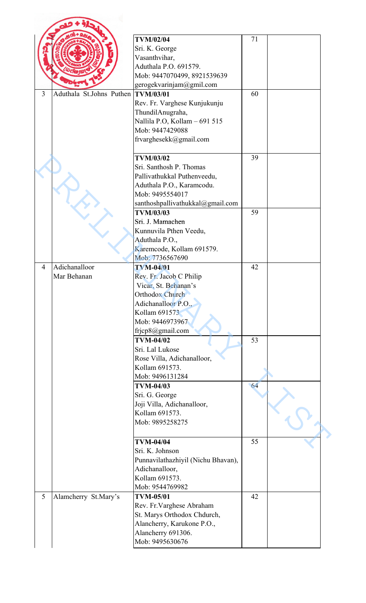|                |                          | <b>TVM/02/04</b>                      | 71 |  |
|----------------|--------------------------|---------------------------------------|----|--|
|                |                          | Sri. K. George                        |    |  |
|                |                          | Vasanthvihar,                         |    |  |
|                |                          | Aduthala P.O. 691579.                 |    |  |
|                |                          | Mob: 9447070499, 8921539639           |    |  |
|                |                          | gerogekvarinjam@gmil.com              |    |  |
| $\overline{3}$ | Aduthala St.Johns Puthen | <b>TVM/03/01</b>                      | 60 |  |
|                |                          |                                       |    |  |
|                |                          | Rev. Fr. Varghese Kunjukunju          |    |  |
|                |                          | ThundilAnugraha,                      |    |  |
|                |                          | Nallila P.O, Kollam - 691 515         |    |  |
|                |                          | Mob: 9447429088                       |    |  |
|                |                          | frvarghesekk@gmail.com                |    |  |
|                |                          |                                       |    |  |
|                |                          | <b>TVM/03/02</b>                      | 39 |  |
|                |                          |                                       |    |  |
|                |                          | Sri. Santhosh P. Thomas               |    |  |
|                |                          | Pallivathukkal Puthenveedu,           |    |  |
|                |                          | Aduthala P.O., Karamcodu.             |    |  |
|                |                          | Mob: 9495554017                       |    |  |
|                |                          | santhoshpallivathukkal@gmail.com      |    |  |
|                |                          | <b>TVM/03/03</b>                      | 59 |  |
|                |                          | Sri. J. Mamachen                      |    |  |
|                |                          |                                       |    |  |
|                |                          | Kunnuvila Pthen Veedu,                |    |  |
|                |                          | Aduthala P.O.,                        |    |  |
|                |                          | Karemcode, Kollam 691579.             |    |  |
|                |                          | Mob: 7736567690                       |    |  |
| $\overline{4}$ | Adichanalloor            | <b>TVM-04/01</b>                      | 42 |  |
|                | Mar Behanan              | Rev. Fr. Jacob C Philip               |    |  |
|                |                          | Vicar, St. Behanan's                  |    |  |
|                |                          | Orthodox Church                       |    |  |
|                |                          |                                       |    |  |
|                |                          | Adichanalloor P.O.,                   |    |  |
|                |                          | Kollam 691573                         |    |  |
|                |                          | Mob: 9446973967                       |    |  |
|                |                          | frjcp8@gmail.com                      |    |  |
|                |                          | <b>TVM-04/02</b>                      | 53 |  |
|                |                          | Sri. Lal Lukose                       |    |  |
|                |                          |                                       |    |  |
|                |                          | Rose Villa, Adichanalloor,            |    |  |
|                |                          | Kollam 691573.                        |    |  |
|                |                          | Mob: 9496131284                       |    |  |
|                |                          | <b>TVM-04/03</b>                      | 64 |  |
|                |                          | Sri. G. George                        |    |  |
|                |                          | Joji Villa, Adichanalloor,            |    |  |
|                |                          |                                       |    |  |
|                |                          |                                       |    |  |
|                |                          | Kollam 691573.                        |    |  |
|                |                          | Mob: 9895258275                       |    |  |
|                |                          |                                       |    |  |
|                |                          | <b>TVM-04/04</b>                      | 55 |  |
|                |                          | Sri. K. Johnson                       |    |  |
|                |                          | Punnavilathazhiyil (Nichu Bhavan),    |    |  |
|                |                          |                                       |    |  |
|                |                          | Adichanalloor,                        |    |  |
|                |                          | Kollam 691573.                        |    |  |
|                |                          | Mob: 9544769982                       |    |  |
|                | Alamcherry St.Mary's     | <b>TVM-05/01</b>                      | 42 |  |
|                |                          | Rev. Fr. Varghese Abraham             |    |  |
|                |                          | St. Marys Orthodox Chdurch,           |    |  |
|                |                          |                                       |    |  |
| 5              |                          | Alancherry, Karukone P.O.,            |    |  |
|                |                          | Alancherry 691306.<br>Mob: 9495630676 |    |  |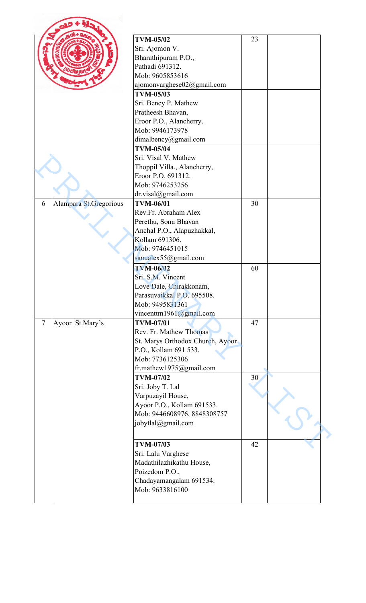|        |                        | <b>TVM-05/02</b>                                  | 23 |  |
|--------|------------------------|---------------------------------------------------|----|--|
|        |                        | Sri. Ajomon V.                                    |    |  |
|        |                        | Bharathipuram P.O.,                               |    |  |
|        |                        | Pathadi 691312.                                   |    |  |
|        |                        | Mob: 9605853616                                   |    |  |
|        |                        | ajomonvarghese02@gmail.com                        |    |  |
|        |                        | <b>TVM-05/03</b>                                  |    |  |
|        |                        | Sri. Bency P. Mathew                              |    |  |
|        |                        | Pratheesh Bhavan,                                 |    |  |
|        |                        | Eroor P.O., Alancherry.                           |    |  |
|        |                        | Mob: 9946173978                                   |    |  |
|        |                        | dimalbency@gmail.com                              |    |  |
|        |                        | <b>TVM-05/04</b>                                  |    |  |
|        |                        | Sri. Visal V. Mathew                              |    |  |
|        |                        |                                                   |    |  |
|        |                        | Thoppil Villa., Alancherry,<br>Eroor P.O. 691312. |    |  |
|        |                        |                                                   |    |  |
|        |                        | Mob: 9746253256                                   |    |  |
|        |                        | dr.visal@gmail.com<br><b>TVM-06/01</b>            |    |  |
| 6      | Alampara St.Gregorious | Rev.Fr. Abraham Alex                              | 30 |  |
|        |                        |                                                   |    |  |
|        |                        | Perethu, Sonu Bhavan                              |    |  |
|        |                        | Anchal P.O., Alapuzhakkal,                        |    |  |
|        |                        | Kollam 691306.                                    |    |  |
|        |                        | Mob: 9746451015                                   |    |  |
|        |                        | sanualex55@gmail.com                              |    |  |
|        |                        | <b>TVM-06/02</b>                                  | 60 |  |
|        |                        | Sri, S.M. Vincent                                 |    |  |
|        |                        | Love Dale, Chirakkonam,                           |    |  |
|        |                        | Parasuvaikkal P.O. 695508.                        |    |  |
|        |                        | Mob: 9495831361                                   |    |  |
|        |                        | vincenttm1961@gmail.com                           |    |  |
| $\tau$ | Ayoor St.Mary's        | <b>TVM-07/01</b>                                  | 47 |  |
|        |                        | Rev. Fr. Mathew Thomas                            |    |  |
|        |                        | St. Marys Orthodox Church, Ayoor                  |    |  |
|        |                        | P.O., Kollam 691 533.                             |    |  |
|        |                        | Mob: 7736125306                                   |    |  |
|        |                        | fr.mathew1975@gmail.com                           |    |  |
|        |                        | <b>TVM-07/02</b>                                  | 30 |  |
|        |                        | Sri. Joby T. Lal                                  |    |  |
|        |                        | Varpuzayil House,                                 |    |  |
|        |                        | Ayoor P.O., Kollam 691533.                        |    |  |
|        |                        | Mob: 9446608976, 8848308757                       |    |  |
|        |                        | jobytlal@gmail.com                                |    |  |
|        |                        |                                                   |    |  |
|        |                        | <b>TVM-07/03</b>                                  | 42 |  |
|        |                        | Sri. Lalu Varghese                                |    |  |
|        |                        | Madathilazhikathu House,                          |    |  |
|        |                        |                                                   |    |  |
|        |                        | Poizedom P.O.,                                    |    |  |
|        |                        | Chadayamangalam 691534.<br>Mob: 9633816100        |    |  |
|        |                        |                                                   |    |  |
|        |                        |                                                   |    |  |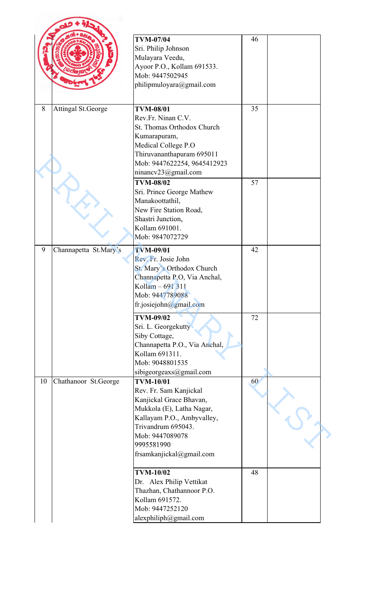|    |                           | <b>TVM-07/04</b><br>Sri. Philip Johnson<br>Mulayara Veedu,<br>Ayoor P.O., Kollam 691533.<br>Mob: 9447502945<br>philipmuloyara@gmail.com                                                                             | 46 |  |
|----|---------------------------|---------------------------------------------------------------------------------------------------------------------------------------------------------------------------------------------------------------------|----|--|
| 8  | <b>Attingal St.George</b> | <b>TVM-08/01</b><br>Rev.Fr. Ninan C.V.<br>St. Thomas Orthodox Church<br>Kumarapuram,<br>Medical College P.O<br>Thiruvananthapuram 695011<br>Mob: 9447622254, 9645412923<br>ninancv23@gmail.com                      | 35 |  |
|    |                           | <b>TVM-08/02</b><br>Sri. Prince George Mathew<br>Manakoottathil,<br>New Fire Station Road,<br>Shastri Junction,<br>Kollam 691001.<br>Mob: 9847072729                                                                | 57 |  |
| 9  | Channapetta St.Mary's     | <b>TVM-09/01</b><br>Rev. Fr. Josie John<br>St. Mary's Orthodox Church<br>Channapetta P.O. Via Anchal,<br>Kollam - 691 311<br>Mob: 9447789088<br>fr.josiejohn@gmail.com                                              | 42 |  |
|    |                           | <b>TVM-09/02</b><br>Sri. L. Georgekutty<br>Siby Cottage,<br>Channapetta P.O., Via Anchal,<br>Kollam 691311.<br>Mob: 9048801535<br>sibigeorgeaxs@gmail.com                                                           | 72 |  |
| 10 | Chathanoor St.George      | <b>TVM-10/01</b><br>Rev. Fr. Sam Kanjickal<br>Kanjickal Grace Bhavan,<br>Mukkola (E), Latha Nagar,<br>Kallayam P.O., Ambyvalley,<br>Trivandrum 695043.<br>Mob: 9447089078<br>9995581990<br>frsamkanjickal@gmail.com | 60 |  |
|    |                           | <b>TVM-10/02</b><br>Dr. Alex Philip Vettikat<br>Thazhan, Chathannoor P.O.<br>Kollam 691572.<br>Mob: 9447252120<br>alexphiliph@gmail.com                                                                             | 48 |  |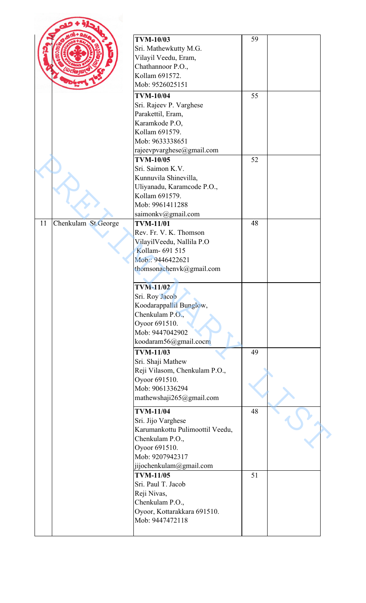|    |                     | <b>TVM-10/03</b><br>Sri. Mathewkutty M.G.<br>Vilayil Veedu, Eram,<br>Chathannoor P.O.,<br>Kollam 691572.<br>Mob: 9526025151                                                                                                                                             | 59 |  |
|----|---------------------|-------------------------------------------------------------------------------------------------------------------------------------------------------------------------------------------------------------------------------------------------------------------------|----|--|
|    |                     | <b>TVM-10/04</b>                                                                                                                                                                                                                                                        | 55 |  |
|    |                     | Sri. Rajeev P. Varghese<br>Parakettil, Eram,<br>Karamkode P.O,<br>Kollam 691579.<br>Mob: 9633338651                                                                                                                                                                     |    |  |
|    |                     | rajeevpvarghese@gmail.com<br><b>TVM-10/05</b>                                                                                                                                                                                                                           | 52 |  |
|    |                     | Sri. Saimon K.V.<br>Kunnuvila Shinevilla,<br>Uliyanadu, Karamcode P.O.,<br>Kollam 691579.<br>Mob: 9961411288<br>saimonkv@gmail.com                                                                                                                                      |    |  |
| 11 | Chenkulam St.George | <b>TVM-11/01</b>                                                                                                                                                                                                                                                        | 48 |  |
|    |                     | Rev. Fr. V. K. Thomson<br>VilayilVeedu, Nallila P.O<br>Kollam- 691 515<br>Mob:: 9446422621<br>thomsonachenvk@gmail.com<br><b>TVM-11/02</b><br>Sri. Roy Jacob<br>Koodarappallil Bunglow,<br>Chenkulam P.O.,<br>Oyoor 691510.<br>Mob: 9447042902<br>koodaram56@gmail.cocm | 49 |  |
|    |                     | <b>TVM-11/03</b><br>Sri. Shaji Mathew<br>Reji Vilasom, Chenkulam P.O.,<br>Oyoor 691510.<br>Mob: 9061336294<br>mathewshaji265@gmail.com                                                                                                                                  |    |  |
|    |                     | <b>TVM-11/04</b><br>Sri. Jijo Varghese<br>Karumankottu Pulimoottil Veedu,<br>Chenkulam P.O.,<br>Oyoor 691510.<br>Mob: 9207942317<br>jijochenkulam@gmail.com                                                                                                             | 48 |  |
|    |                     | <b>TVM-11/05</b><br>Sri. Paul T. Jacob<br>Reji Nivas,<br>Chenkulam P.O.,<br>Oyoor, Kottarakkara 691510.<br>Mob: 9447472118                                                                                                                                              | 51 |  |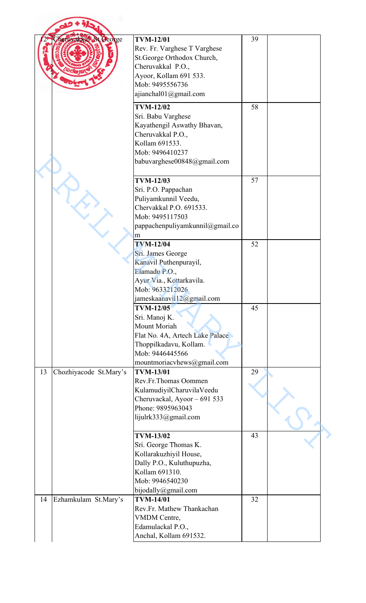| herinakkal St. George        | <b>TVM-12/01</b><br>Rev. Fr. Varghese T Varghese<br>St.George Orthodox Church,<br>Cheruvakkal P.O.,<br>Ayoor, Kollam 691 533.<br>Mob: 9495556736<br>ajianchal01@gmail.com | 39 |  |
|------------------------------|---------------------------------------------------------------------------------------------------------------------------------------------------------------------------|----|--|
|                              | <b>TVM-12/02</b><br>Sri. Babu Varghese<br>Kayathengil Aswathy Bhavan,<br>Cheruvakkal P.O.,<br>Kollam 691533.<br>Mob: 9496410237<br>babuvarghese00848@gmail.com            | 58 |  |
|                              | <b>TVM-12/03</b><br>Sri. P.O. Pappachan<br>Puliyamkunnil Veedu,<br>Chervakkal P.O. 691533.<br>Mob: 9495117503<br>pappachenpuliyamkunnil@gmail.co<br>m                     | 57 |  |
|                              | <b>TVM-12/04</b><br>Sri. James George<br>Kanavil Puthenpurayil,<br>Elamadu P.O.,<br>Ayur Via., Kottarkavila.<br>Mob: 9633212026<br>jameskaanavil12@gmail.com              | 52 |  |
|                              | <b>TVM-12/05</b><br>Sri. Manoj K.<br>Mount Moriah<br>Flat No. 4A, Artech Lake Palace<br>Thoppilkadavu, Kollam.<br>Mob: 9446445566<br>mountmoriacvhews@gmail.com           | 45 |  |
| Chozhiyacode St.Mary's<br>13 | <b>TVM-13/01</b><br>Rev.Fr.Thomas Oommen<br>KulamudiyilCharuvilaVeedu<br>Cheruvackal, Ayoor - 691 533<br>Phone: 9895963043<br>lijulrk333@gmail.com                        | 29 |  |
|                              | <b>TVM-13/02</b><br>Sri. George Thomas K.<br>Kollarakuzhiyil House,<br>Dally P.O., Kuluthupuzha,<br>Kollam 691310.<br>Mob: 9946540230<br>bijodally@gmail.com              | 43 |  |
| 14<br>Ezhamkulam St.Mary's   | <b>TVM-14/01</b><br>Rev.Fr. Mathew Thankachan<br>VMDM Centre,<br>Edamulackal P.O.,<br>Anchal, Kollam 691532.                                                              | 32 |  |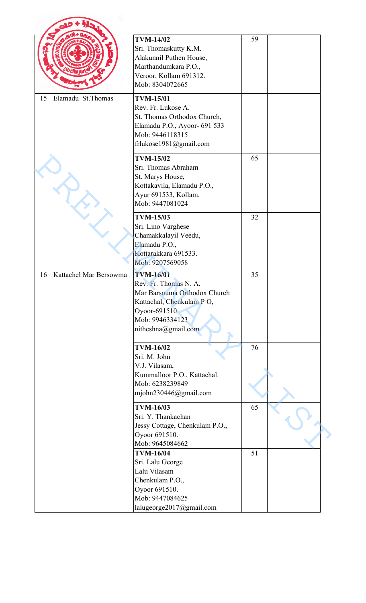|    |                        | <b>TVM-14/02</b><br>Sri. Thomaskutty K.M.<br>Alakunnil Puthen House,<br>Marthandumkara P.O.,<br>Veroor, Kollam 691312.<br>Mob: 8304072665                       | 59 |  |
|----|------------------------|-----------------------------------------------------------------------------------------------------------------------------------------------------------------|----|--|
| 15 | Elamadu St. Thomas     | <b>TVM-15/01</b><br>Rev. Fr. Lukose A.<br>St. Thomas Orthodox Church,<br>Elamadu P.O., Ayoor- 691 533<br>Mob: 9446118315<br>frlukose1981@gmail.com              |    |  |
|    |                        | <b>TVM-15/02</b><br>Sri. Thomas Abraham<br>St. Marys House,<br>Kottakavila, Elamadu P.O.,<br>Ayur 691533, Kollam.<br>Mob: 9447081024                            | 65 |  |
|    |                        | <b>TVM-15/03</b><br>Sri. Lino Varghese<br>Chamakkalayil Veedu,<br>Elamadu P.O.,<br>Kottarakkara 691533.<br>Mob: 9207569058                                      | 32 |  |
| 16 | Kattachel Mar Bersowma | <b>TVM-16/01</b><br>Rev. Fr. Thomas N. A.<br>Mar Barsouma Orthodox Church<br>Kattachal, Chenkulam PO,<br>Oyoor-691510<br>Mob: 9946334123<br>nitheshna@gmail.com | 35 |  |
|    |                        | <b>TVM-16/02</b><br>Sri. M. John<br>V.J. Vilasam,<br>Kummalloor P.O., Kattachal.<br>Mob: 6238239849<br>mjohn230446@gmail.com                                    | 76 |  |
|    |                        | <b>TVM-16/03</b><br>Sri. Y. Thankachan<br>Jessy Cottage, Chenkulam P.O.,<br>Oyoor 691510.<br>Mob: 9645084662                                                    | 65 |  |
|    |                        | <b>TVM-16/04</b><br>Sri. Lalu George<br>Lalu Vilasam<br>Chenkulam P.O.,<br>Oyoor 691510.<br>Mob: 9447084625<br>lalugeorge2017@gmail.com                         | 51 |  |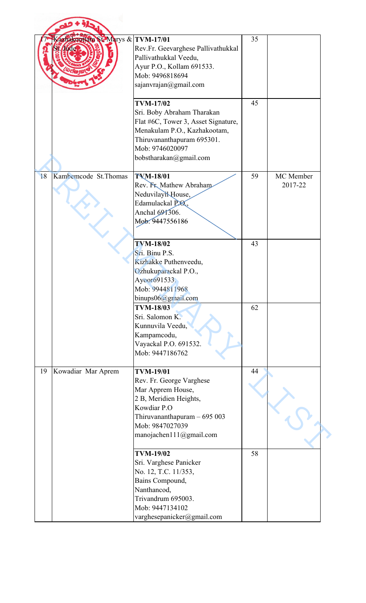| azbakoottala St-Marys & TVM-17/01 | Rev.Fr. Geevarghese Pallivathukkal<br>Pallivathukkal Veedu,<br>Ayur P.O., Kollam 691533.<br>Mob: 9496818694<br>sajanvrajan@gmail.com                                                             | 35 |                      |
|-----------------------------------|--------------------------------------------------------------------------------------------------------------------------------------------------------------------------------------------------|----|----------------------|
|                                   | <b>TVM-17/02</b><br>Sri. Boby Abraham Tharakan<br>Flat #6C, Tower 3, Asset Signature,<br>Menakulam P.O., Kazhakootam,<br>Thiruvananthapuram 695301.<br>Mob: 9746020097<br>bobstharakan@gmail.com | 45 |                      |
| 18<br>Kambemcode St. Thomas       | <b>TVM-18/01</b><br>Rev. Fr. Mathew Abraham<br>NeduvilayiNHouse,<br>Edamulackal P.O.<br>Anchal 691306.<br>Mob. 9447556186                                                                        | 59 | MC Member<br>2017-22 |
|                                   | <b>TVM-18/02</b><br>Sri. Binu P.S.<br>Kizhakke Puthenveedu,<br>Ozhukuparackal P.O.,<br>Ayoor691533.<br>Mob: 9944811968<br>binups06@gmail.com                                                     | 43 |                      |
|                                   | <b>TVM-18/03</b><br>Sri. Salomon K.<br>Kunnuvila Veedu,<br>Kampamcodu,<br>Vayackal P.O. 691532.<br>Mob: 9447186762                                                                               | 62 |                      |
| Kowadiar Mar Aprem<br>19          | <b>TVM-19/01</b><br>Rev. Fr. George Varghese<br>Mar Apprem House,<br>2 B, Meridien Heights,<br>Kowdiar P.O<br>Thiruvananthapuram $-695003$<br>Mob: 9847027039<br>manojachen111@gmail.com         | 44 |                      |
|                                   | <b>TVM-19/02</b><br>Sri. Varghese Panicker<br>No. 12, T.C. 11/353,<br>Bains Compound,<br>Nanthancod,<br>Trivandrum 695003.<br>Mob: 9447134102<br>varghesepanicker@gmail.com                      | 58 |                      |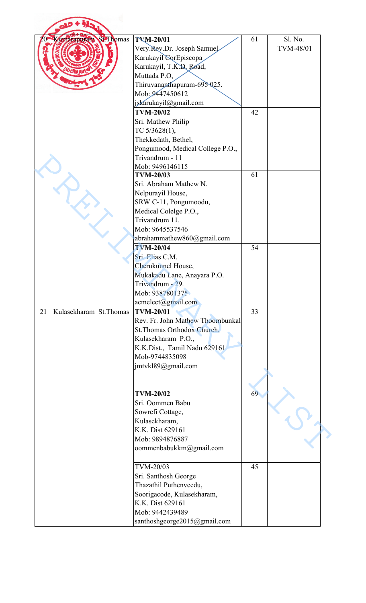| Kunarapurara St. Lhomas       | <b>TVM-20/01</b><br>Very Rev.Dr. Joseph Samuel<br>Karukayil CorEpiscopa<br>Karukayil, T.K.D. Road,<br>Muttada P.O,<br>Thiruvananthapuram-695 025.<br>Mob: 9447450612                         | 61 | Sl. No.<br>TVM-48/01 |
|-------------------------------|----------------------------------------------------------------------------------------------------------------------------------------------------------------------------------------------|----|----------------------|
|                               | jskarukayil@gmail.com<br><b>TVM-20/02</b><br>Sri. Mathew Philip<br>TC 5/3628(1),<br>Thekkedath, Bethel,<br>Pongumood, Medical College P.O.,                                                  | 42 |                      |
|                               | Trivandrum - 11<br>Mob: 9496146115<br><b>TVM-20/03</b><br>Sri. Abraham Mathew N.<br>Nelpurayil House,<br>SRW C-11, Pongumoodu,<br>Medical Colelge P.O.,<br>Trivandrum 11.<br>Mob: 9645537546 | 61 |                      |
|                               | abrahammathew860@gmail.com<br><b>TVM-20/04</b><br>Sri. Elias C.M.<br>Cherukunnel House,<br>Mukakadu Lane, Anayara P.O.<br>Trivandrum - 29.<br>Mob: 9387801375<br>acmelect@gmail.com          | 54 |                      |
| Kulasekharam St. Thomas<br>21 | <b>TVM-20/01</b><br>Rev. Fr. John Mathew Thoombunkal<br>St. Thomas Orthodox Church,<br>Kulasekharam P.O.,<br>K.K.Dist., Tamil Nadu 629161<br>Mob-9744835098<br>jmtvkl89@gmail.com            | 33 |                      |
|                               | <b>TVM-20/02</b><br>Sri. Oommen Babu<br>Sowrefi Cottage,<br>Kulasekharam,<br>K.K. Dist 629161<br>Mob: 9894876887<br>oommenbabukkm@gmail.com                                                  | 69 |                      |
|                               | TVM-20/03<br>Sri. Santhosh George<br>Thazathil Puthenveedu,<br>Soorigacode, Kulasekharam,<br>K.K. Dist 629161<br>Mob: 9442439489<br>santhoshgeorge2015@gmail.com                             | 45 |                      |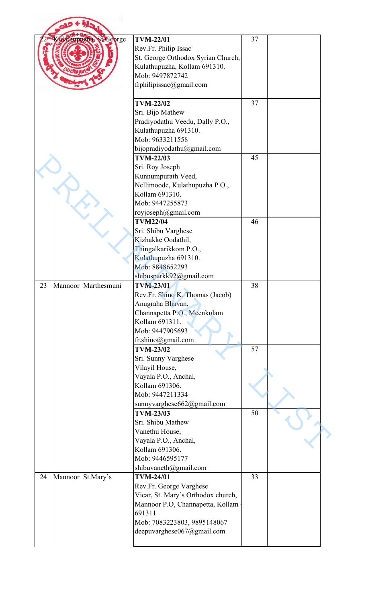|    | Kudathupuxha St George | <b>TVM-22/01</b><br>Rev.Fr. Philip Issac<br>St. George Orthodox Syrian Church,<br>Kulathupuzha, Kollam 691310.<br>Mob: 9497872742                                                            | 37 |  |
|----|------------------------|----------------------------------------------------------------------------------------------------------------------------------------------------------------------------------------------|----|--|
|    |                        | frphilipissac@gmail.com                                                                                                                                                                      |    |  |
|    |                        | <b>TVM-22/02</b><br>Sri. Bijo Mathew<br>Pradiyodathu Veedu, Dally P.O.,<br>Kulathupuzha 691310.<br>Mob: 9633211558                                                                           | 37 |  |
|    |                        | bijopradiyodathu@gmail.com<br><b>TVM-22/03</b><br>Sri. Roy Joseph<br>Kunnumpurath Veed,<br>Nellimoode, Kulathupuzha P.O.,<br>Kollam 691310.<br>Mob: 9447255873                               | 45 |  |
|    |                        | royjoseph@gmail.com<br><b>TVM22/04</b><br>Sri. Shibu Varghese<br>Kizhakke Oodathil,<br>Thingalkarikkom P.O.,<br>Kulathupuzha 691310.<br>Mob: 8848652293<br>shibusparkk92@gmail.com           | 46 |  |
| 23 | Mannoor Marthesmuni    | <b>TVM-23/01</b><br>Rev.Fr. Shino K. Thomas (Jacob)<br>Anugraha Bhavan,<br>Channapetta P.O., Meenkulam<br>Kollam 691311.<br>Mob: 9447905693<br>fr.shino@gmail.com                            | 38 |  |
|    |                        | <b>TVM-23/02</b><br>Sri. Sunny Varghese<br>Vilayil House,<br>Vayala P.O., Anchal,<br>Kollam 691306.<br>Mob: 9447211334<br>sunnyvarghese662@gmail.com                                         | 57 |  |
|    |                        | <b>TVM-23/03</b><br>Sri. Shibu Mathew<br>Vanethu House,<br>Vayala P.O., Anchal,<br>Kollam 691306.<br>Mob: 9446595177<br>shibuvaneth@gmail.com                                                | 50 |  |
| 24 | Mannoor St.Mary's      | <b>TVM-24/01</b><br>Rev.Fr. George Varghese<br>Vicar, St. Mary's Orthodox church,<br>Mannoor P.O, Channapetta, Kollam<br>691311<br>Mob: 7083223803, 9895148067<br>deepuvarghese067@gmail.com | 33 |  |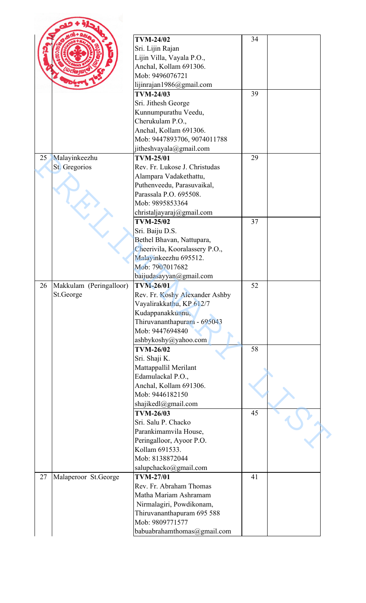|    |                          | <b>TVM-24/02</b>                           | 34 |  |
|----|--------------------------|--------------------------------------------|----|--|
|    |                          | Sri. Lijin Rajan                           |    |  |
|    |                          | Lijin Villa, Vayala P.O.,                  |    |  |
|    | Anchal, Kollam 691306.   |                                            |    |  |
|    | Mob: 9496076721          |                                            |    |  |
|    | lijinrajan1986@gmail.com |                                            |    |  |
|    |                          | <b>TVM-24/03</b>                           | 39 |  |
|    |                          | Sri. Jithesh George                        |    |  |
|    |                          | Kunnumpurathu Veedu,                       |    |  |
|    |                          | Cherukulam P.O.,                           |    |  |
|    |                          | Anchal, Kollam 691306.                     |    |  |
|    |                          | Mob: 9447893706, 9074011788                |    |  |
|    |                          | jitheshvayala@gmail.com                    |    |  |
| 25 | Malayinkeezhu            | <b>TVM-25/01</b>                           | 29 |  |
|    | St. Gregorios            | Rev. Fr. Lukose J. Christudas              |    |  |
|    |                          | Alampara Vadakethattu,                     |    |  |
|    |                          | Puthenveedu, Parasuvaikal,                 |    |  |
|    |                          | Parassala P.O. 695508.                     |    |  |
|    |                          | Mob: 9895853364                            |    |  |
|    |                          | christaljayaraj@gmail.com                  |    |  |
|    |                          | <b>TVM-25/02</b>                           | 37 |  |
|    |                          |                                            |    |  |
|    |                          | Sri. Baiju D.S.                            |    |  |
|    |                          | Bethel Bhavan, Nattupara,                  |    |  |
|    |                          | Cheerivila, Kooralassery P.O.,             |    |  |
|    |                          | Malayinkeezhu 695512.                      |    |  |
|    |                          | Mob: 7907017682                            |    |  |
|    |                          | baijudasayyan@gmail.com                    |    |  |
| 26 | Makkulam (Peringalloor)  | <b>TVM-26/01</b>                           | 52 |  |
|    | St.George                | Rev. Fr. Koshy Alexander Ashby             |    |  |
|    |                          | Vayalirakkathu, KP 612/7                   |    |  |
|    |                          | Kudappanakkunnu,                           |    |  |
|    |                          | Thiruvananthapuram - 695043                |    |  |
|    |                          | Mob: 9447694840                            |    |  |
|    |                          | ashbykoshy@yahoo.com                       |    |  |
|    |                          | <b>TVM-26/02</b>                           | 58 |  |
|    |                          | Sri. Shaji K.                              |    |  |
|    |                          | Mattappallil Merilant                      |    |  |
|    |                          | Edamulackal P.O.,                          |    |  |
|    |                          | Anchal, Kollam 691306.                     |    |  |
|    |                          | Mob: 9446182150                            |    |  |
|    |                          | shajikedl@gmail.com                        |    |  |
|    |                          | <b>TVM-26/03</b>                           | 45 |  |
|    |                          | Sri. Salu P. Chacko                        |    |  |
|    |                          | Parankimamvila House,                      |    |  |
|    |                          |                                            |    |  |
|    |                          | Peringalloor, Ayoor P.O.<br>Kollam 691533. |    |  |
|    |                          |                                            |    |  |
|    |                          | Mob: 8138872044                            |    |  |
|    |                          | salupchacko@gmail.com                      |    |  |
| 27 | Malaperoor St.George     | <b>TVM-27/01</b>                           | 41 |  |
|    |                          | Rev. Fr. Abraham Thomas                    |    |  |
|    |                          | Matha Mariam Ashramam                      |    |  |
|    |                          | Nirmalagiri, Powdikonam,                   |    |  |
|    |                          | Thiruvananthapuram 695 588                 |    |  |
|    |                          | Mob: 9809771577                            |    |  |
|    |                          | babuabrahamthomas@gmail.com                |    |  |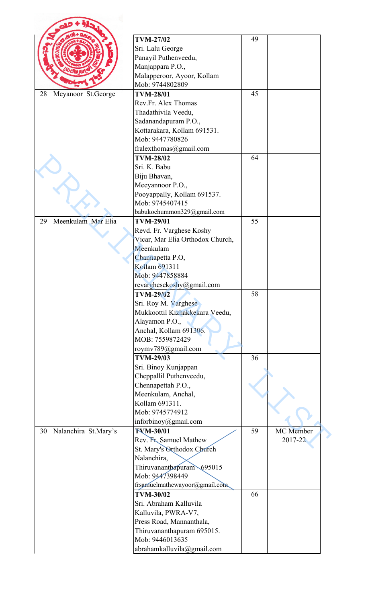|    |                      | <b>TVM-27/02</b>                 | 49 |           |
|----|----------------------|----------------------------------|----|-----------|
|    |                      | Sri. Lalu George                 |    |           |
|    |                      | Panayil Puthenveedu,             |    |           |
|    |                      | Manjappara P.O.,                 |    |           |
|    |                      | Malapperoor, Ayoor, Kollam       |    |           |
|    |                      | Mob: 9744802809                  |    |           |
| 28 | Meyanoor St.George   | <b>TVM-28/01</b>                 | 45 |           |
|    |                      | Rev.Fr. Alex Thomas              |    |           |
|    |                      | Thadathivila Veedu,              |    |           |
|    |                      | Sadanandapuram P.O.,             |    |           |
|    |                      | Kottarakara, Kollam 691531.      |    |           |
|    |                      | Mob: 9447780826                  |    |           |
|    |                      | fralexthomas@gmail.com           |    |           |
|    |                      | <b>TVM-28/02</b>                 | 64 |           |
|    |                      | Sri. K. Babu                     |    |           |
|    |                      | Biju Bhavan,                     |    |           |
|    |                      | Meeyannoor P.O.,                 |    |           |
|    |                      | Pooyappally, Kollam 691537.      |    |           |
|    |                      | Mob: 9745407415                  |    |           |
|    |                      | babukochummon329@gmail.com       |    |           |
| 29 | Meenkulam Mar Elia   | <b>TVM-29/01</b>                 | 55 |           |
|    |                      | Revd. Fr. Varghese Koshy         |    |           |
|    |                      | Vicar, Mar Elia Orthodox Church, |    |           |
|    |                      | Meenkulam                        |    |           |
|    |                      | Channapetta P.O,                 |    |           |
|    |                      | Kollam 691311                    |    |           |
|    |                      | Mob: 9447858884                  |    |           |
|    |                      | revarghesekoshy@gmail.com        |    |           |
|    |                      | <b>TVM-29/02</b>                 | 58 |           |
|    |                      |                                  |    |           |
|    |                      | Sri. Roy M. Varghese             |    |           |
|    |                      | Mukkoottil Kizhakkekara Veedu,   |    |           |
|    |                      | Alayamon P.O.,                   |    |           |
|    |                      | Anchal, Kollam 691306.           |    |           |
|    |                      | MOB: 7559872429                  |    |           |
|    |                      | roymv789@gmail.com               |    |           |
|    |                      | <b>TVM-29/03</b>                 | 36 |           |
|    |                      | Sri. Binoy Kunjappan             |    |           |
|    |                      | Cheppallil Puthenveedu,          |    |           |
|    |                      | Chennapettah P.O.,               |    |           |
|    |                      | Meenkulam, Anchal,               |    |           |
|    |                      | Kollam 691311.                   |    |           |
|    |                      | Mob: 9745774912                  |    |           |
|    |                      | inforbinoy@gmail.com             |    |           |
| 30 | Nalanchira St.Mary's | <b>TVM-30/01</b>                 | 59 | MC Member |
|    |                      | Rev. Fr. Samuel Mathew           |    | 2017-22   |
|    |                      | St. Mary's Orthodox Church       |    |           |
|    |                      | Nalanchira,                      |    |           |
|    |                      | Thiruvananthapuram 695015        |    |           |
|    |                      | Mob: 9447398449                  |    |           |
|    |                      | frsamuelmathewayoor@gmail.com    |    |           |
|    |                      | <b>TVM-30/02</b>                 | 66 |           |
|    |                      | Sri. Abraham Kalluvila           |    |           |
|    |                      | Kalluvila, PWRA-V7,              |    |           |
|    |                      | Press Road, Mannanthala,         |    |           |
|    |                      | Thiruvananthapuram 695015.       |    |           |
|    |                      | Mob: 9446013635                  |    |           |
|    |                      | abrahamkalluvila@gmail.com       |    |           |
|    |                      |                                  |    |           |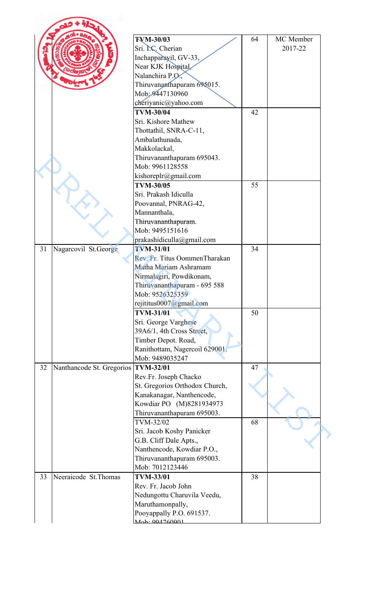|    |                                     | <b>TVM-30/03</b>               | 64 | MC Member |
|----|-------------------------------------|--------------------------------|----|-----------|
|    |                                     | Sri. NC. Cherian               |    | 2017-22   |
|    |                                     |                                |    |           |
|    |                                     | Inchapparayil, GV-33,          |    |           |
|    |                                     | Near KJK Hospital,             |    |           |
|    |                                     | Nalanchira P.O.                |    |           |
|    |                                     | Thiruvananthapuram 695015.     |    |           |
|    |                                     | Mob: 9447130960                |    |           |
|    |                                     | cheriyanic@yahoo.com           |    |           |
|    |                                     | <b>TVM-30/04</b>               | 42 |           |
|    |                                     | Sri. Kishore Mathew            |    |           |
|    |                                     | Thottathil, SNRA-C-11,         |    |           |
|    |                                     | Ambalathunada,                 |    |           |
|    |                                     | Makkolackal,                   |    |           |
|    |                                     | Thiruvananthapuram 695043.     |    |           |
|    |                                     | Mob: 9961128558                |    |           |
|    |                                     | kishoreplr@gmail.com           |    |           |
|    |                                     | <b>TVM-30/05</b>               | 55 |           |
|    |                                     | Sri. Prakash Idiculla          |    |           |
|    |                                     | Poovannal, PNRAG-42,           |    |           |
|    |                                     | Mannanthala,                   |    |           |
|    |                                     | Thiruvananthapuram.            |    |           |
|    |                                     | Mob: 9495151616                |    |           |
|    |                                     | prakashidiculla@gmail.com      |    |           |
| 31 | Nagarcovil St.George                | <b>TVM-31/01</b>               | 34 |           |
|    |                                     | Rev. Fr. Titus OommenTharakan  |    |           |
|    |                                     | Matha Mariam Ashramam          |    |           |
|    |                                     |                                |    |           |
|    |                                     | Nirmalagiri, Powdikonam,       |    |           |
|    |                                     | Thiruvananthapuram - 695 588   |    |           |
|    |                                     | Mob: 9526325359                |    |           |
|    |                                     | rejititus0007@gmail.com        |    |           |
|    |                                     | <b>TVM-31/01</b>               | 50 |           |
|    |                                     | Sri. George Varghese           |    |           |
|    |                                     | 39A6/1, 4th Cross Street,      |    |           |
|    |                                     | Timber Depot. Road,            |    |           |
|    |                                     | Ranithottam, Nagercoil 629001. |    |           |
|    |                                     | Mob: 9489035247                |    |           |
| 32 | Nanthancode St. Gregorios TVM-32/01 |                                | 47 |           |
|    |                                     | Rev.Fr. Joseph Chacko          |    |           |
|    |                                     | St. Gregorios Orthodox Church, |    |           |
|    |                                     | Kanakanagar, Nanthencode,      |    |           |
|    |                                     | Kowdiar PO (M)8281934973       |    |           |
|    |                                     | Thiruvananthapuram 695003.     |    |           |
|    |                                     | TVM-32/02                      | 68 |           |
|    |                                     | Sri. Jacob Koshy Panicker      |    |           |
|    |                                     | G.B. Cliff Dale Apts.,         |    |           |
|    |                                     | Nanthencode, Kowdiar P.O.,     |    |           |
|    |                                     | Thiruvananthapuram 695003.     |    |           |
|    |                                     | Mob: 7012123446                |    |           |
| 33 | Neeraicode St. Thomas               | <b>TVM-33/01</b>               | 38 |           |
|    |                                     |                                |    |           |
|    |                                     | Rev. Fr. Jacob John            |    |           |
|    |                                     | Nedungottu Charuvila Veedu,    |    |           |
|    |                                     | Maruthamonpally,               |    |           |
|    |                                     | Pooyappally P.O. 691537.       |    |           |
|    |                                     | $M_{\odot}h$ : 004760001       |    |           |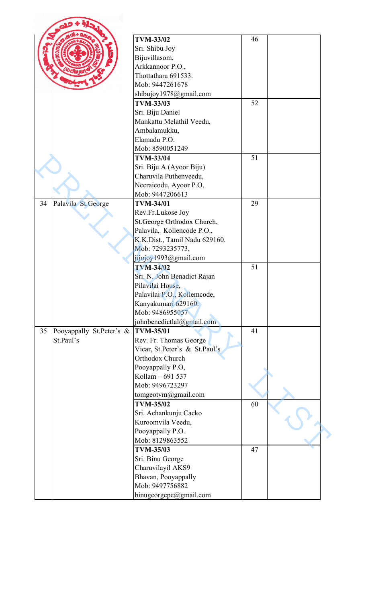|    |                          | <b>TVM-33/02</b>              | 46 |  |
|----|--------------------------|-------------------------------|----|--|
|    |                          | Sri. Shibu Joy                |    |  |
|    |                          | Bijuvillasom,                 |    |  |
|    |                          | Arkkannoor P.O.,              |    |  |
|    |                          | Thottathara 691533.           |    |  |
|    |                          | Mob: 9447261678               |    |  |
|    |                          | shibujoy1978@gmail.com        |    |  |
|    |                          | <b>TVM-33/03</b>              | 52 |  |
|    |                          | Sri. Biju Daniel              |    |  |
|    |                          | Mankattu Melathil Veedu,      |    |  |
|    |                          | Ambalamukku,                  |    |  |
|    |                          | Elamadu P.O.                  |    |  |
|    |                          | Mob: 8590051249               |    |  |
|    |                          | <b>TVM-33/04</b>              | 51 |  |
|    |                          | Sri. Biju A (Ayoor Biju)      |    |  |
|    |                          | Charuvila Puthenveedu,        |    |  |
|    |                          | Neeraicodu, Ayoor P.O.        |    |  |
|    |                          | Mob: 9447206613               |    |  |
| 34 | Palavila St.George       | <b>TVM-34/01</b>              | 29 |  |
|    |                          | Rev.Fr.Lukose Joy             |    |  |
|    |                          |                               |    |  |
|    |                          | St.George Orthodox Church,    |    |  |
|    |                          | Palavila, Kollencode P.O.,    |    |  |
|    |                          | K.K.Dist., Tamil Nadu 629160. |    |  |
|    |                          | Mob: 7293235773,              |    |  |
|    |                          | jijojoy1993@gmail.com         |    |  |
|    |                          | <b>TVM-34/02</b>              | 51 |  |
|    |                          | Sri. N. John Benadict Rajan   |    |  |
|    |                          | Pilavilai House,              |    |  |
|    |                          | Palavilai P.O., Kollemcode,   |    |  |
|    |                          | Kanyakumari 629160.           |    |  |
|    |                          | Mob: 9486955057               |    |  |
|    |                          | johnbenedictlal@gmail.com     |    |  |
| 35 | Pooyappally St.Peter's & | <b>TVM-35/01</b>              | 41 |  |
|    | St.Paul's                | Rev. Fr. Thomas George        |    |  |
|    |                          | Vicar, St.Peter's & St.Paul's |    |  |
|    |                          | Orthodox Church               |    |  |
|    |                          | Pooyappally P.O.              |    |  |
|    |                          | Kollam - 691 537              |    |  |
|    |                          | Mob: 9496723297               |    |  |
|    |                          | tomgeotym@gmail.com           |    |  |
|    |                          | <b>TVM-35/02</b>              | 60 |  |
|    |                          | Sri. Achankunju Cacko         |    |  |
|    |                          | Kuroomvila Veedu,             |    |  |
|    |                          | Pooyappally P.O.              |    |  |
|    |                          | Mob: 8129863552               |    |  |
|    |                          | <b>TVM-35/03</b>              | 47 |  |
|    |                          | Sri. Binu George              |    |  |
|    |                          | Charuvilayil AKS9             |    |  |
|    |                          | Bhavan, Pooyappally           |    |  |
|    |                          | Mob: 9497756882               |    |  |
|    |                          | binugeorgepc@gmail.com        |    |  |
|    |                          |                               |    |  |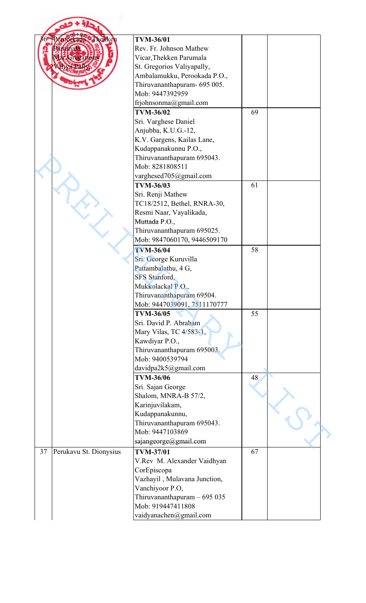|    | eroorkada Thekken      | <b>TVM-36/01</b>             |    |  |
|----|------------------------|------------------------------|----|--|
|    | Eirinala               | Rev. Fr. Johnson Mathew      |    |  |
|    | ar Gregariou           | Vicar, Thekken Parumala      |    |  |
|    |                        | St. Gregorios Valiyapally,   |    |  |
|    |                        | Ambalamukku, Perookada P.O., |    |  |
|    |                        | Thiruvananthapuram- 695 005. |    |  |
|    |                        | Mob: 9447392959              |    |  |
|    |                        | frjohnsonma@gmail.com        |    |  |
|    |                        | <b>TVM-36/02</b>             | 69 |  |
|    |                        | Sri. Varghese Daniel         |    |  |
|    |                        | Anjubba, K.U.G.-12,          |    |  |
|    |                        | K.V. Gargens, Kailas Lane,   |    |  |
|    |                        | Kudappanakunnu P.O.,         |    |  |
|    |                        | Thiruvananthapuram 695043.   |    |  |
|    |                        | Mob: 8281808511              |    |  |
|    |                        | varghesed705@gmail.com       |    |  |
|    |                        | <b>TVM-36/03</b>             | 61 |  |
|    |                        |                              |    |  |
|    |                        | Sri. Renji Mathew            |    |  |
|    |                        | TC18/2512, Bethel, RNRA-30,  |    |  |
|    |                        | Resmi Naar, Vayalikada,      |    |  |
|    |                        | Muttada P.O.,                |    |  |
|    |                        | Thiruvananthapuram 695025.   |    |  |
|    |                        | Mob: 9847060170, 9446509170  |    |  |
|    |                        | <b>TVM-36/04</b>             | 58 |  |
|    |                        | Sri. George Kuruvilla        |    |  |
|    |                        | Pattambalathu, 4 G,          |    |  |
|    |                        | <b>SFS</b> Stanford.         |    |  |
|    |                        | Mukkolackal P.O.,            |    |  |
|    |                        | Thiruvananthapuram 69504.    |    |  |
|    |                        | Mob: 9447039091, 7511170777  |    |  |
|    |                        | <b>TVM-36/05</b>             | 55 |  |
|    |                        | Sri. David P. Abraham        |    |  |
|    |                        | Mary Vilas, TC 4/583-1,      |    |  |
|    |                        | Kawdiyar P.O.,               |    |  |
|    |                        | Thiruvananthapuram 695003.   |    |  |
|    |                        | Mob: 9400539794              |    |  |
|    |                        | davidpa2k5@gmail.com         |    |  |
|    |                        | <b>TVM-36/06</b>             | 48 |  |
|    |                        | Sri. Sajan George            |    |  |
|    |                        | Shalom, MNRA-B 57/2,         |    |  |
|    |                        | Karinjuvilakam,              |    |  |
|    |                        | Kudappanakunnu,              |    |  |
|    |                        | Thiruvananthapuram 695043.   |    |  |
|    |                        | Mob: 9447103869              |    |  |
|    |                        | sajangeorge@gmail.com        |    |  |
| 37 | Perukavu St. Dionysius | <b>TVM-37/01</b>             | 67 |  |
|    |                        | V.Rev M. Alexander Vaidhyan  |    |  |
|    |                        | CorEpiscopa                  |    |  |
|    |                        | Vazhayil, Mulavana Junction, |    |  |
|    |                        | Vanchiyoor P.O,              |    |  |
|    |                        | Thiruvananthapuram $-695035$ |    |  |
|    |                        | Mob: 919447411808            |    |  |
|    |                        |                              |    |  |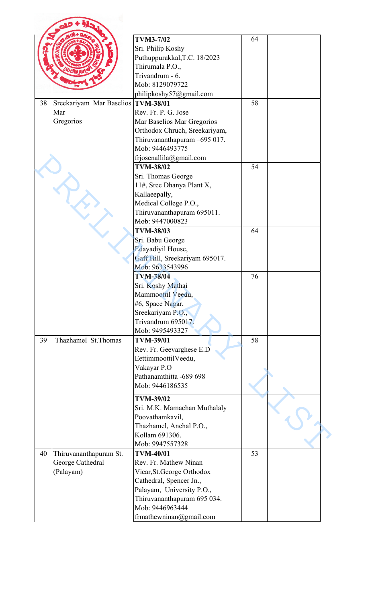|    |                                      | <b>TVM3-7/02</b><br>Sri. Philip Koshy<br>Puthuppurakkal, T.C. 18/2023<br>Thirumala P.O., | 64 |  |
|----|--------------------------------------|------------------------------------------------------------------------------------------|----|--|
|    |                                      | Trivandrum - 6.<br>Mob: 8129079722                                                       |    |  |
|    |                                      | philipkoshy57@gmail.com                                                                  |    |  |
| 38 | Sreekariyam Mar Baselios   TVM-38/01 |                                                                                          | 58 |  |
|    | Mar                                  | Rev. Fr. P. G. Jose                                                                      |    |  |
|    | Gregorios                            | Mar Baselios Mar Gregorios                                                               |    |  |
|    |                                      | Orthodox Chruch, Sreekariyam,<br>Thiruvananthapuram -695 017.                            |    |  |
|    |                                      | Mob: 9446493775                                                                          |    |  |
|    |                                      | frjosenallila@gmail.com                                                                  |    |  |
|    |                                      | <b>TVM-38/02</b>                                                                         | 54 |  |
|    |                                      | Sri. Thomas George                                                                       |    |  |
|    |                                      | 11#, Sree Dhanya Plant X,                                                                |    |  |
|    |                                      | Kallaeepally,                                                                            |    |  |
|    |                                      | Medical College P.O.,                                                                    |    |  |
|    |                                      | Thiruvananthapuram 695011.                                                               |    |  |
|    |                                      | Mob: 9447000823                                                                          |    |  |
|    |                                      | <b>TVM-38/03</b>                                                                         | 64 |  |
|    |                                      | Sri. Babu George                                                                         |    |  |
|    |                                      | Edayadiyil House,                                                                        |    |  |
|    |                                      | Gaff Hill, Sreekariyam 695017.                                                           |    |  |
|    |                                      | Mob: 9633543996                                                                          |    |  |
|    |                                      | <b>TVM-38/04</b>                                                                         | 76 |  |
|    |                                      | Sri. Koshy Mathai                                                                        |    |  |
|    |                                      | Mammoottil Veedu,                                                                        |    |  |
|    |                                      | #6, Space Nagar,<br>Sreekariyam P.O.,                                                    |    |  |
|    |                                      | Trivandrum 695017.                                                                       |    |  |
|    |                                      | Mob: 9495493327                                                                          |    |  |
| 39 | Thazhamel St.Thomas                  | <b>TVM-39/01</b>                                                                         | 58 |  |
|    |                                      | Rev. Fr. Geevarghese E.D                                                                 |    |  |
|    |                                      | EettimmoottilVeedu,                                                                      |    |  |
|    |                                      | Vakayar P.O                                                                              |    |  |
|    |                                      | Pathanamthitta -689 698                                                                  |    |  |
|    |                                      | Mob: 9446186535                                                                          |    |  |
|    |                                      | <b>TVM-39/02</b>                                                                         |    |  |
|    |                                      | Sri. M.K. Mamachan Muthalaly                                                             |    |  |
|    |                                      | Poovathamkavil,                                                                          |    |  |
|    |                                      | Thazhamel, Anchal P.O.,                                                                  |    |  |
|    |                                      | Kollam 691306.                                                                           |    |  |
|    |                                      | Mob: 9947557328                                                                          |    |  |
| 40 | Thiruvananthapuram St.               | <b>TVM-40/01</b>                                                                         | 53 |  |
|    | George Cathedral                     | Rev. Fr. Mathew Ninan                                                                    |    |  |
|    | (Palayam)                            | Vicar, St. George Orthodox                                                               |    |  |
|    |                                      | Cathedral, Spencer Jn.,                                                                  |    |  |
|    |                                      | Palayam, University P.O.,                                                                |    |  |
|    |                                      | Thiruvananthapuram 695 034.                                                              |    |  |
|    |                                      | Mob: 9446963444                                                                          |    |  |
|    |                                      | frmathewninan@gmail.com                                                                  |    |  |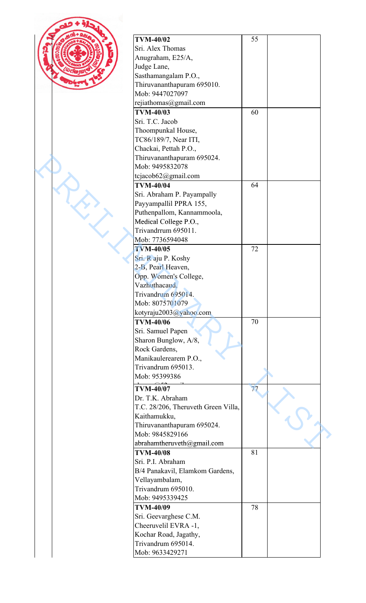| <b>TVM-40/02</b>                      | 55 |  |
|---------------------------------------|----|--|
| Sri. Alex Thomas                      |    |  |
| Anugraham, E25/A,                     |    |  |
| Judge Lane,                           |    |  |
| Sasthamangalam P.O.,                  |    |  |
| Thiruvananthapuram 695010.            |    |  |
| Mob: 9447027097                       |    |  |
| rejiathomas@gmail.com                 |    |  |
| <b>TVM-40/03</b>                      | 60 |  |
|                                       |    |  |
| Sri. T.C. Jacob                       |    |  |
| Thoompunkal House,                    |    |  |
| TC86/189/7, Near ITI,                 |    |  |
| Chackai, Pettah P.O.,                 |    |  |
| Thiruvananthapuram 695024.            |    |  |
| Mob: 9495832078                       |    |  |
| tcjacob62@gmail.com                   |    |  |
| <b>TVM-40/04</b>                      | 64 |  |
| Sri. Abraham P. Payampally            |    |  |
| Payyampallil PPRA 155,                |    |  |
| Puthenpallom, Kannammoola,            |    |  |
| Medical College P.O.,                 |    |  |
| Trivandrrum 695011.                   |    |  |
| Mob: 7736594048                       |    |  |
| <b>TVM-40/05</b>                      | 72 |  |
|                                       |    |  |
| Sri. R aju P. Koshy                   |    |  |
| 2-B, Pearl Heaven,                    |    |  |
| Opp. Women's College,                 |    |  |
| Vazhuthacaud,                         |    |  |
| Trivandrum 695014.                    |    |  |
| Mob: 8075701079                       |    |  |
| kotyraju2003@yahoo.com                |    |  |
| <b>TVM-40/06</b>                      | 70 |  |
| Sri. Samuel Papen                     |    |  |
| Sharon Bunglow, A/8,                  |    |  |
| Rock Gardens,                         |    |  |
| Manikaulerearem P.O.,                 |    |  |
| Trivandrum 695013.                    |    |  |
| Mob: 95399386                         |    |  |
| <b>TVM-40/07</b>                      | 77 |  |
| Dr. T.K. Abraham                      |    |  |
| T.C. 28/206, Theruveth Green Villa,   |    |  |
| Kaithamukku,                          |    |  |
| Thiruvananthapuram 695024.            |    |  |
| Mob: 9845829166                       |    |  |
|                                       |    |  |
| abrahamtheruveth@gmail.com            |    |  |
| <b>TVM-40/08</b>                      | 81 |  |
| Sri. P.I. Abraham                     |    |  |
| B/4 Panakavil, Elamkom Gardens,       |    |  |
| Vellayambalam,                        |    |  |
| Trivandrum 695010.                    |    |  |
| Mob: 9495339425                       |    |  |
| <b>TVM-40/09</b>                      | 78 |  |
|                                       |    |  |
| Sri. Geevarghese C.M.                 |    |  |
|                                       |    |  |
| Cheeruvelil EVRA -1,                  |    |  |
| Kochar Road, Jagathy,                 |    |  |
| Trivandrum 695014.<br>Mob: 9633429271 |    |  |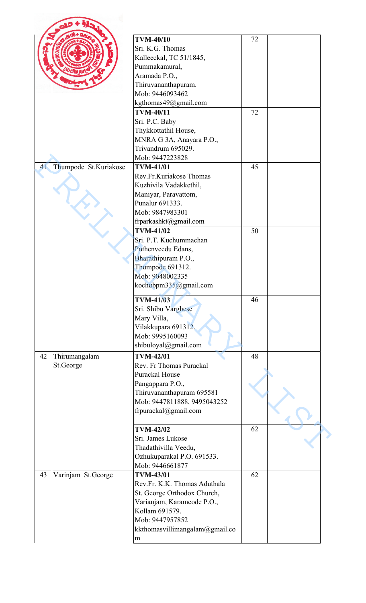|    |                            | <b>TVM-40/10</b><br>Sri. K.G. Thomas<br>Kalleeckal, TC 51/1845,                                                                                    | 72 |  |
|----|----------------------------|----------------------------------------------------------------------------------------------------------------------------------------------------|----|--|
|    |                            | Pummakamural,<br>Aramada P.O.,<br>Thiruvananthapuram.<br>Mob: 9446093462                                                                           |    |  |
|    |                            | kgthomas49@gmail.com<br><b>TVM-40/11</b>                                                                                                           | 72 |  |
|    |                            | Sri. P.C. Baby<br>Thykkottathil House,<br>MNRA G 3A, Anayara P.O.,<br>Trivandrum 695029.                                                           |    |  |
| 41 | Thumpode St.Kuriakose      | Mob: 9447223828<br><b>TVM-41/01</b>                                                                                                                | 45 |  |
|    |                            | Rev.Fr.Kuriakose Thomas<br>Kuzhivila Vadakkethil,<br>Maniyar, Paravattom,<br>Punalur 691333.<br>Mob: 9847983301                                    |    |  |
|    |                            | frparkashkt@gmail.com<br><b>TVM-41/02</b>                                                                                                          | 50 |  |
|    |                            | Sri. P.T. Kuchummachan<br>Puthenveedu Edans,<br>Bharathipuram P.O.,<br>Thumpode 691312.<br>Mob: 9048002335<br>kochubpm335@gmail.com                |    |  |
|    |                            | <b>TVM-41/03</b><br>Sri. Shibu Varghese<br>Mary Villa,<br>Vilakkupara 691312.<br>Mob: 9995160093<br>shibuloyal@gmail.com                           | 46 |  |
| 42 | Thirumangalam<br>St.George | <b>TVM-42/01</b><br>Rev. Fr Thomas Purackal<br>Purackal House                                                                                      | 48 |  |
|    |                            | Pangappara P.O.,<br>Thiruvananthapuram 695581<br>Mob: 9447811888, 9495043252<br>frpurackal@gmail.com                                               |    |  |
|    |                            | <b>TVM-42/02</b><br>Sri. James Lukose<br>Thadathivilla Veedu,<br>Ozhukuparakal P.O. 691533.<br>Mob: 9446661877                                     | 62 |  |
| 43 | Varinjam St.George         | <b>TVM-43/01</b><br>Rev.Fr. K.K. Thomas Aduthala<br>St. George Orthodox Church,<br>Varianjam, Karamcode P.O.,<br>Kollam 691579.<br>Mob: 9447957852 | 62 |  |
|    |                            | kkthomasvillimangalam@gmail.co<br>m                                                                                                                |    |  |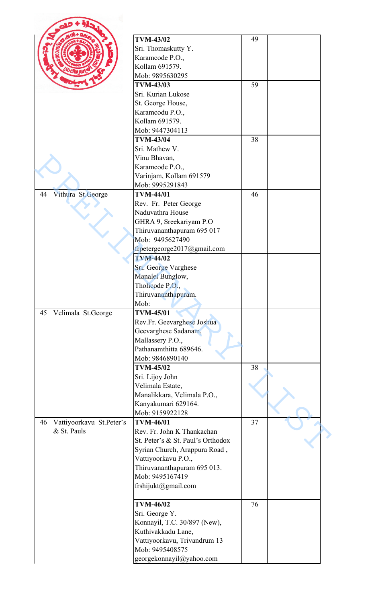|    |                          | <b>TVM-43/02</b>                  | 49 |  |
|----|--------------------------|-----------------------------------|----|--|
|    |                          | Sri. Thomaskutty Y.               |    |  |
|    |                          | Karamcode P.O.,                   |    |  |
|    |                          | Kollam 691579.                    |    |  |
|    |                          | Mob: 9895630295                   |    |  |
|    |                          | <b>TVM-43/03</b>                  | 59 |  |
|    |                          | Sri. Kurian Lukose                |    |  |
|    |                          | St. George House,                 |    |  |
|    |                          | Karamcodu P.O.,                   |    |  |
|    |                          | Kollam 691579.                    |    |  |
|    |                          | Mob: 9447304113                   |    |  |
|    |                          | <b>TVM-43/04</b>                  | 38 |  |
|    |                          | Sri. Mathew V.                    |    |  |
|    |                          | Vinu Bhavan,                      |    |  |
|    |                          | Karamcode P.O.,                   |    |  |
|    |                          | Varinjam, Kollam 691579           |    |  |
|    |                          | Mob: 9995291843                   |    |  |
| 44 | Vithura St.George        | <b>TVM-44/01</b>                  | 46 |  |
|    |                          | Rev. Fr. Peter George             |    |  |
|    |                          | Naduvathra House                  |    |  |
|    |                          | GHRA 9, Sreekariyam P.O           |    |  |
|    |                          | Thiruvananthapuram 695 017        |    |  |
|    |                          | Mob: 9495627490                   |    |  |
|    |                          | frpetergeorge2017@gmail.com       |    |  |
|    |                          | <b>TVM-44/02</b>                  |    |  |
|    |                          | Sri. George Varghese              |    |  |
|    |                          | Manalel Bunglow,                  |    |  |
|    |                          | Tholicode P.O.,                   |    |  |
|    |                          | Thiruvananthapuram.               |    |  |
|    |                          | Mob:                              |    |  |
| 45 | Velimala St.George       | <b>TVM-45/01</b>                  |    |  |
|    |                          | Rev.Fr. Geevarghese Joshua        |    |  |
|    |                          | Geevarghese Sadanam,              |    |  |
|    |                          | Mallassery P.O.,                  |    |  |
|    |                          | Pathanamthitta 689646.            |    |  |
|    |                          | Mob: 9846890140                   |    |  |
|    |                          | <b>TVM-45/02</b>                  | 38 |  |
|    |                          | Sri. Lijoy John                   |    |  |
|    |                          | Velimala Estate,                  |    |  |
|    |                          | Manalikkara, Velimala P.O.,       |    |  |
|    |                          | Kanyakumari 629164.               |    |  |
|    |                          | Mob: 9159922128                   |    |  |
| 46 | Vattiyoorkavu St.Peter's | <b>TVM-46/01</b>                  | 37 |  |
|    | & St. Pauls              | Rev. Fr. John K Thankachan        |    |  |
|    |                          | St. Peter's & St. Paul's Orthodox |    |  |
|    |                          | Syrian Church, Arappura Road,     |    |  |
|    |                          | Vattiyoorkavu P.O.,               |    |  |
|    |                          | Thiruvananthapuram 695 013.       |    |  |
|    |                          | Mob: 9495167419                   |    |  |
|    |                          | frshijukt@gmail.com               |    |  |
|    |                          |                                   |    |  |
|    |                          | <b>TVM-46/02</b>                  | 76 |  |
|    |                          | Sri. George Y.                    |    |  |
|    |                          | Konnayil, T.C. 30/897 (New),      |    |  |
|    |                          | Kuthivakkadu Lane,                |    |  |
|    |                          | Vattiyoorkavu, Trivandrum 13      |    |  |
|    |                          | Mob: 9495408575                   |    |  |
|    |                          | georgekonnayil@yahoo.com          |    |  |
|    |                          |                                   |    |  |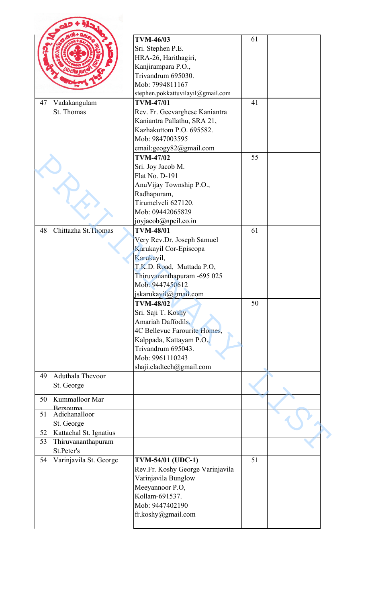|    |                        | <b>TVM-46/03</b>                  | 61 |  |
|----|------------------------|-----------------------------------|----|--|
|    |                        | Sri. Stephen P.E.                 |    |  |
|    |                        | HRA-26, Harithagiri,              |    |  |
|    |                        | Kanjirampara P.O.,                |    |  |
|    |                        | Trivandrum 695030.                |    |  |
|    |                        | Mob: 7994811167                   |    |  |
|    |                        |                                   |    |  |
|    |                        | stephen.pokkattuvilayil@gmail.com |    |  |
| 47 | Vadakangulam           | <b>TVM-47/01</b>                  | 41 |  |
|    | St. Thomas             | Rev. Fr. Geevarghese Kaniantra    |    |  |
|    |                        | Kaniantra Pallathu, SRA 21,       |    |  |
|    |                        | Kazhakuttom P.O. 695582.          |    |  |
|    |                        | Mob: 9847003595                   |    |  |
|    |                        | email:geogy82@gmail.com           |    |  |
|    |                        | <b>TVM-47/02</b>                  | 55 |  |
|    |                        |                                   |    |  |
|    |                        | Sri. Joy Jacob M.                 |    |  |
|    |                        | Flat No. D-191                    |    |  |
|    |                        | AnuVijay Township P.O.,           |    |  |
|    |                        | Radhapuram,                       |    |  |
|    |                        | Tirumelveli 627120.               |    |  |
|    |                        | Mob: 09442065829                  |    |  |
|    |                        | joyjacob@npcil.co.in              |    |  |
|    |                        |                                   |    |  |
| 48 | Chittazha St. Thomas   | <b>TVM-48/01</b>                  | 61 |  |
|    |                        | Very Rev.Dr. Joseph Samuel        |    |  |
|    |                        | Karukayil Cor-Episcopa            |    |  |
|    |                        | Karukayil,                        |    |  |
|    |                        | T.K.D. Road, Muttada P.O,         |    |  |
|    |                        | Thiruvananthapuram -695 025       |    |  |
|    |                        | Mob: 9447450612                   |    |  |
|    |                        |                                   |    |  |
|    |                        | jskarukayil@gmail.com             |    |  |
|    |                        | <b>TVM-48/02</b>                  | 50 |  |
|    |                        | Sri. Saji T. Koshy                |    |  |
|    |                        | Amariah Daffodils,                |    |  |
|    |                        | 4C Bellevuc Farourite Homes,      |    |  |
|    |                        | Kalppada, Kattayam P.O.,          |    |  |
|    |                        | Trivandrum 695043.                |    |  |
|    |                        | Mob: 9961110243                   |    |  |
|    |                        |                                   |    |  |
|    |                        | shaji.cladtech@gmail.com          |    |  |
| 49 | Aduthala Thevoor       |                                   |    |  |
|    | St. George             |                                   |    |  |
| 50 | Kummalloor Mar         |                                   |    |  |
|    | Rersouma               |                                   |    |  |
| 51 | Adichanalloor          |                                   |    |  |
|    | St. George             |                                   |    |  |
| 52 | Kattachal St. Ignatius |                                   |    |  |
|    |                        |                                   |    |  |
| 53 | Thiruvananthapuram     |                                   |    |  |
|    | St.Peter's             |                                   |    |  |
|    |                        |                                   | 51 |  |
|    | Varinjavila St. George | <b>TVM-54/01 (UDC-1)</b>          |    |  |
|    |                        | Rev.Fr. Koshy George Varinjavila  |    |  |
|    |                        |                                   |    |  |
|    |                        | Varinjavila Bunglow               |    |  |
|    |                        | Meeyannoor P.O,                   |    |  |
|    |                        | Kollam-691537.                    |    |  |
|    |                        | Mob: 9447402190                   |    |  |
| 54 |                        | fr.koshy@gmail.com                |    |  |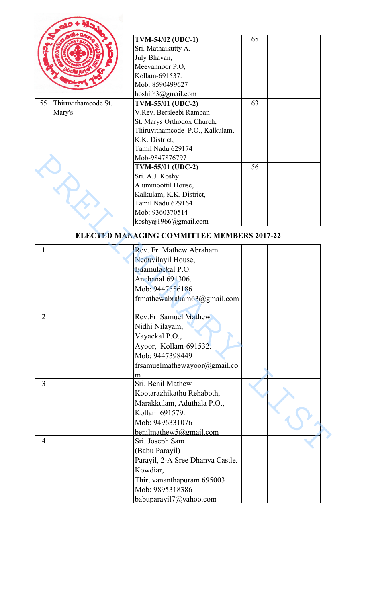|                |                     | TVM-54/02 (UDC-1)                                   | 65 |  |
|----------------|---------------------|-----------------------------------------------------|----|--|
|                |                     | Sri. Mathaikutty A.                                 |    |  |
|                |                     | July Bhavan,                                        |    |  |
|                |                     | Meeyannoor P.O,                                     |    |  |
|                |                     | Kollam-691537.                                      |    |  |
|                |                     | Mob: 8590499627                                     |    |  |
|                |                     | hoshith3@gmail.com                                  |    |  |
| 55             | Thiruvithamcode St. |                                                     | 63 |  |
|                |                     | <b>TVM-55/01 (UDC-2)</b><br>V.Rev. Bersleebi Ramban |    |  |
|                | Mary's              |                                                     |    |  |
|                |                     | St. Marys Orthodox Church,                          |    |  |
|                |                     | Thiruvithamcode P.O., Kalkulam,                     |    |  |
|                |                     | K.K. District,<br>Tamil Nadu 629174                 |    |  |
|                |                     |                                                     |    |  |
|                |                     | Mob-9847876797                                      |    |  |
|                |                     | <b>TVM-55/01 (UDC-2)</b>                            | 56 |  |
|                |                     | Sri. A.J. Koshy                                     |    |  |
|                |                     | Alummoottil House,                                  |    |  |
|                |                     | Kalkulam, K.K. District,                            |    |  |
|                |                     | Tamil Nadu 629164                                   |    |  |
|                |                     | Mob: 9360370514                                     |    |  |
|                |                     | koshyaj1966@gmail.com                               |    |  |
|                |                     | ELECTED MANAGING COMMITTEE MEMBERS 2017-22          |    |  |
| 1              |                     | Rev. Fr. Mathew Abraham                             |    |  |
|                |                     | Neduvilayil House,                                  |    |  |
|                |                     | Edamulackal P.O.                                    |    |  |
|                |                     | Anchanal 691306.                                    |    |  |
|                |                     | Mob: 9447556186                                     |    |  |
|                |                     |                                                     |    |  |
|                |                     | frmathewabraham63@gmail.com                         |    |  |
| $\overline{2}$ |                     | <b>Rev.Fr. Samuel Mathew</b>                        |    |  |
|                |                     | Nidhi Nilayam,                                      |    |  |
|                |                     | Vayackal P.O.,                                      |    |  |
|                |                     | Ayoor, Kollam-691532.                               |    |  |
|                |                     | Mob: 9447398449                                     |    |  |
|                |                     |                                                     |    |  |
|                |                     | frsamuelmathewayoor@gmail.co                        |    |  |
| 3              |                     | m<br>Sri. Benil Mathew                              |    |  |
|                |                     |                                                     |    |  |
|                |                     | Kootarazhikathu Rehaboth,                           |    |  |
|                |                     | Marakkulam, Aduthala P.O.,                          |    |  |
|                |                     | Kollam 691579.                                      |    |  |
|                |                     | Mob: 9496331076                                     |    |  |
|                |                     | benilmathew5@gmail.com                              |    |  |
| 4              |                     | Sri. Joseph Sam                                     |    |  |
|                |                     | (Babu Parayil)                                      |    |  |
|                |                     | Parayil, 2-A Sree Dhanya Castle,                    |    |  |
|                |                     | Kowdiar,                                            |    |  |
|                |                     | Thiruvananthapuram 695003                           |    |  |
|                |                     | Mob: 9895318386                                     |    |  |
|                |                     |                                                     |    |  |
|                |                     | babuparavil7@yahoo.com                              |    |  |